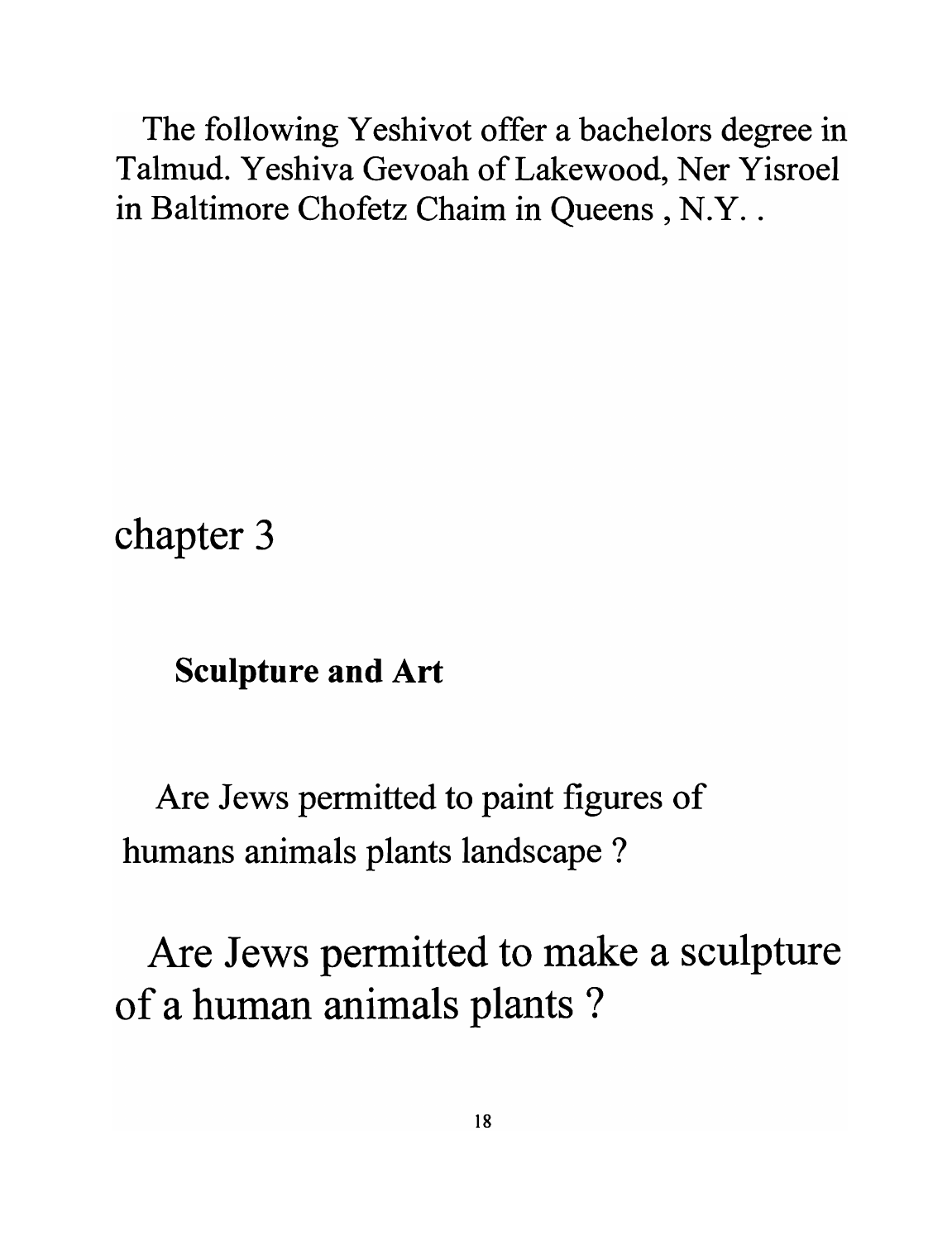The following Yeshivot offer a bachelors degree in Talmud. Yeshiva Gevoah of Lakewood, Ner Yisroel in Baltimore Chofetz Chaim in Queens , N.Y. .

chapter 3

## **Sculpture and Art**

Are Jews permitted to paint figures of humans animals plants landscape?

Are Jews permitted to make a sculpture of a human animals plants ?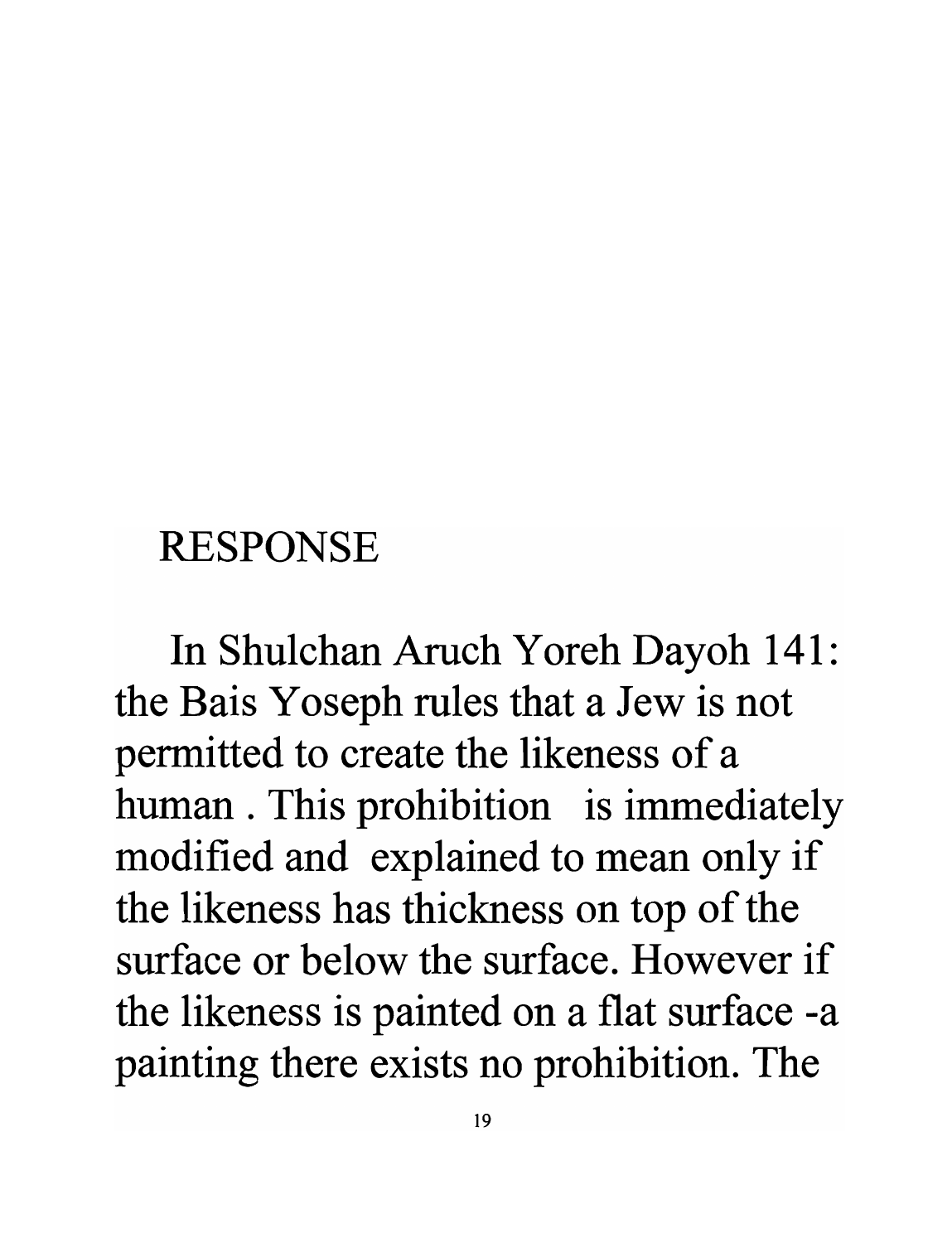## RESPONSE

In Shulchan Aruch Yoreh Dayoh 141: the Bais Yoseph rules that a Jew is not permitted to create the likeness of a human . This prohibition is immediately modified and explained to mean only if the likeness has thickness on top of the **surface or below the surface. However if**  the likeness is painted on a flat surface -a painting there exists no prohibition. The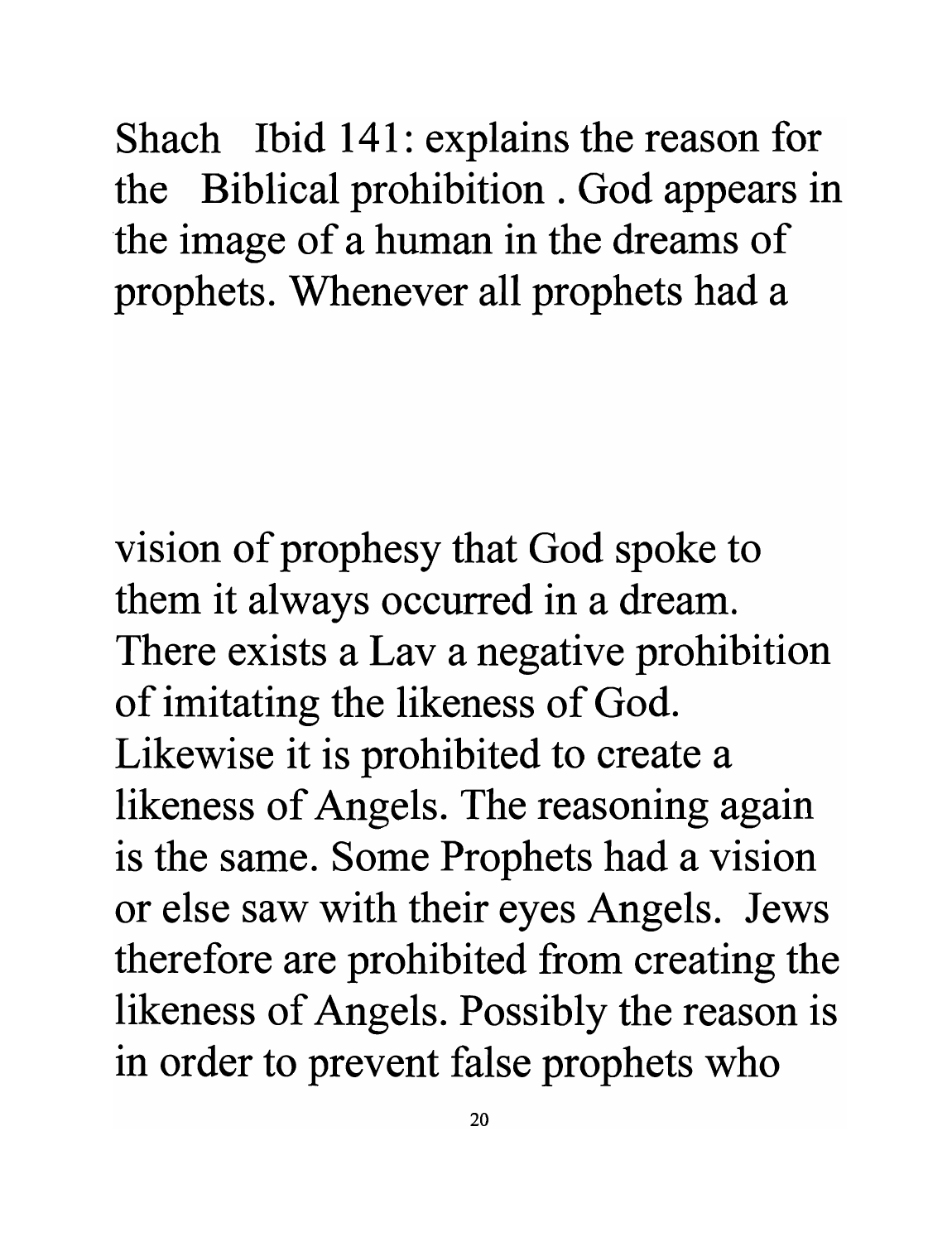Shach Ibid 141: explains the reason for the Biblical prohibition . God appears in the image of a human in the dreams of prophets. Whenever all prophets had a

vision of prophesy that God spoke to them it always occurred in a dream. There exists a Lav a negative prohibition of imitating the likeness of God. Likewise it is prohibited to create a likeness of Angels. The reasoning again is the same. Some Prophets had a vision or else saw with their eyes Angels. Jews therefore are prohibited from creating the likeness of Angels. Possibly the reason is in order to prevent false prophets who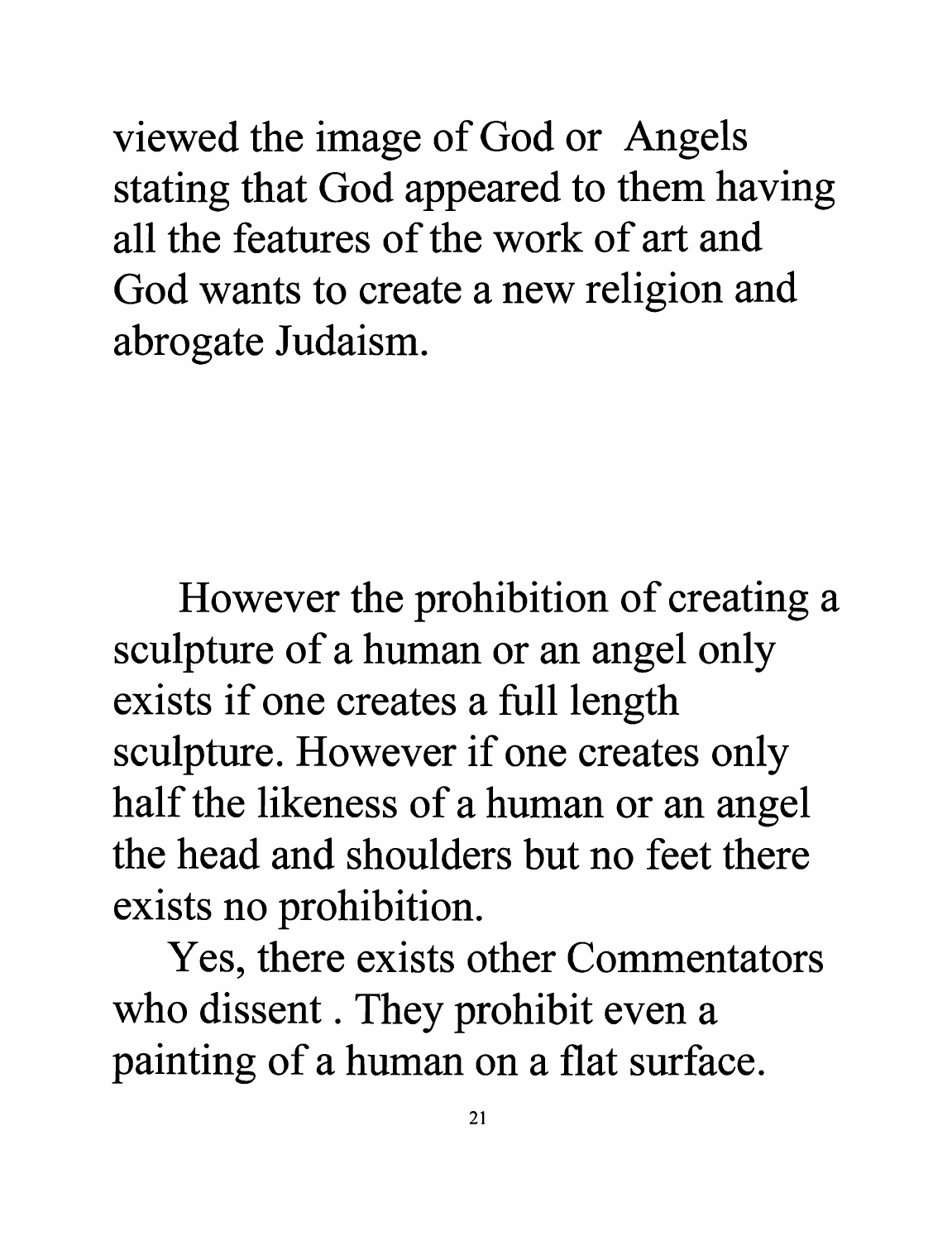viewed the image of God or Angels stating that God appeared to them having **all the features of the work of art and**  God wants to create a new religion and abrogate Judaism.

However the prohibition of creating a sculpture of a human or an angel only exists if one creates a full length sculpture. However if one creates only half the likeness of a human or an angel **the head and shoulders but no feet there**  exists no prohibition.

Yes, there exists other Commentators who dissent . They prohibit even a painting of a human on a flat surface.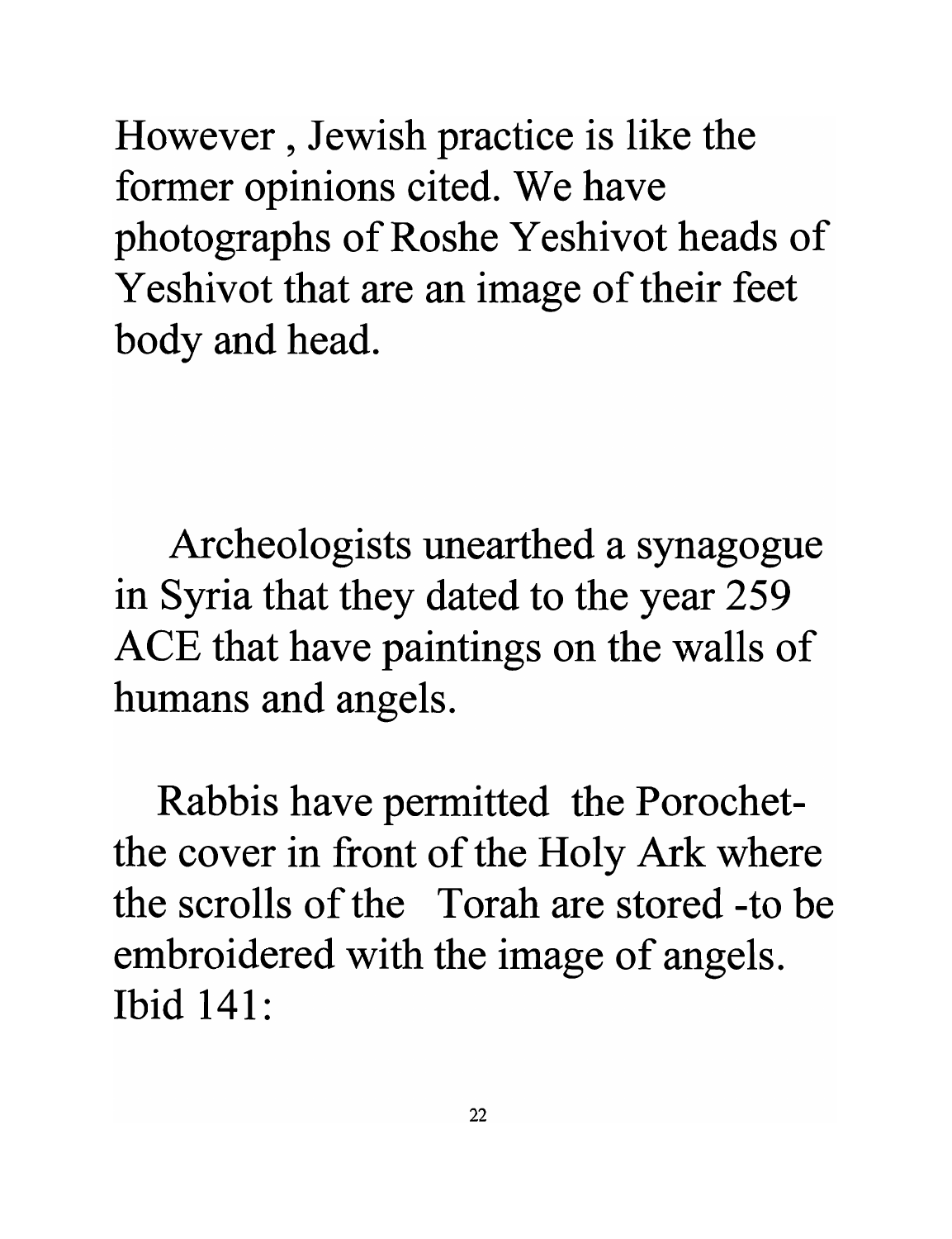However , Jewish practice is like the former opinions cited. We have photographs of Roshe Yeshivot heads of Yeshivot that are an image of their feet body and head.

Archeologists unearthed a synagogue in Syria that they dated to the year 259 ACE that have paintings on the walls of humans and angels.

Rabbis have permitted the Porochetthe cover in front of the Holy Ark where **the scrolls** of the **Torah are stored -to be**  embroidered with the image of angels. **Ibid 141:**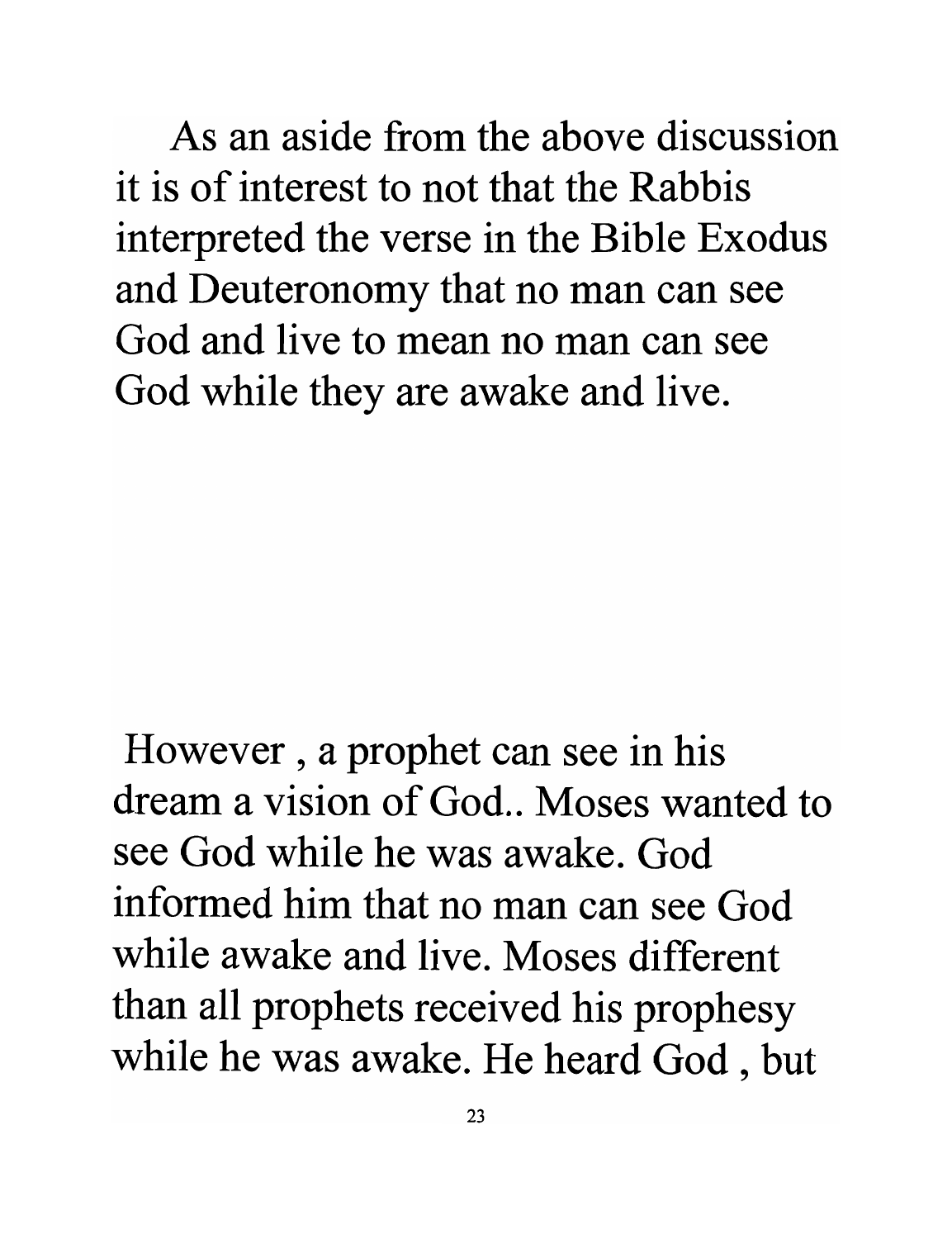As an aside from the above discussion it is of interest to not that the Rabbis interpreted the verse in the Bible Exodus and Deuteronomy that no man can see God and live to mean no man can see God while they are awake and live.

However , a prophet can see in his dream a vision of God.. Moses wanted to see God while he was awake. God informed him that no man can see God while awake and live. Moses different than all prophets received his prophesy while he was awake. He heard God, but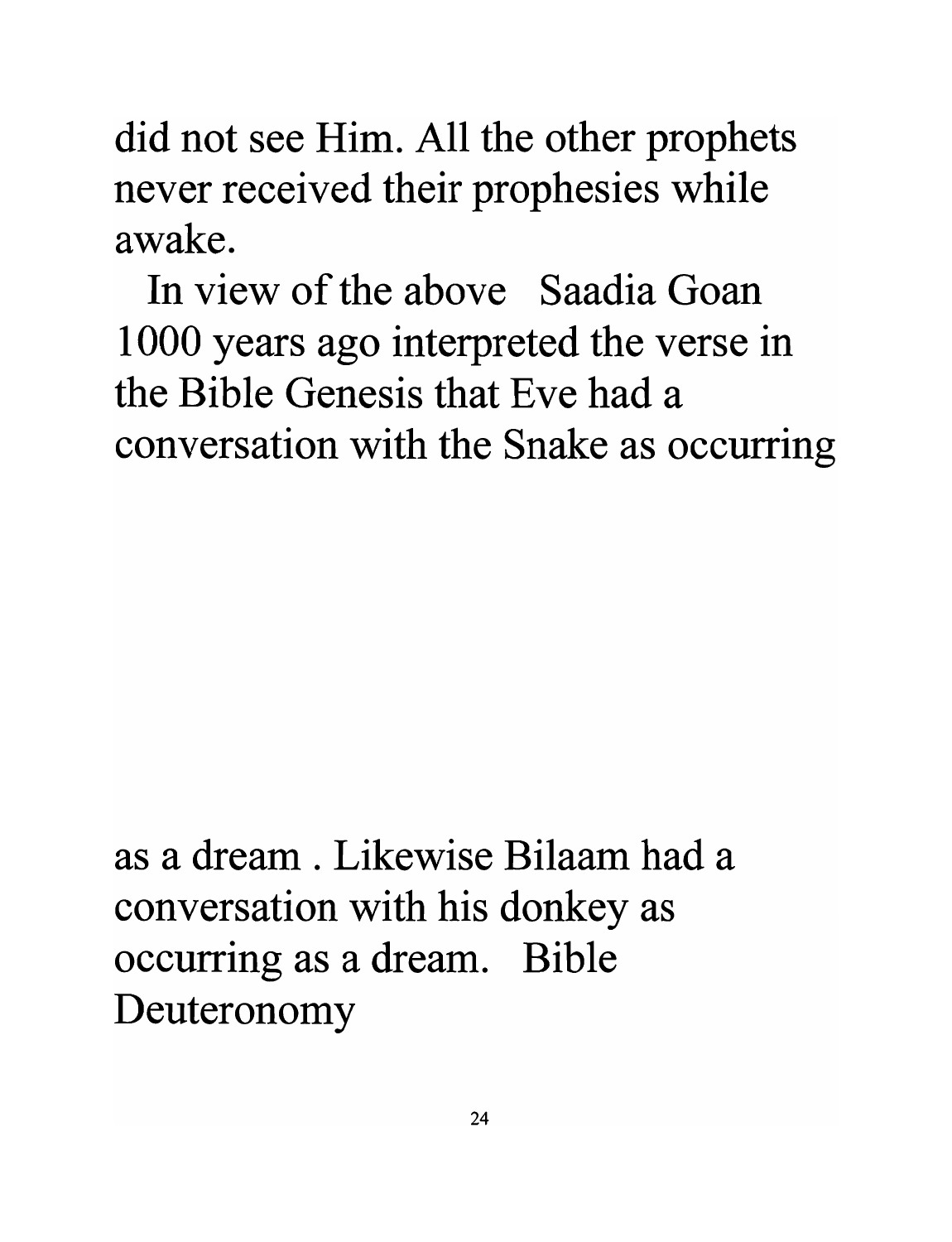did not see Him. All the other prophets never received their prophesies while awake.

**In** view of the above Saadia Goan 1000 years ago interpreted the verse in the Bible Genesis that Eve had a conversation with the Snake as occurring

as a dream . Likewise Bilaam had a conversation with his donkey as occurring as a dream. Bible Deuteronomy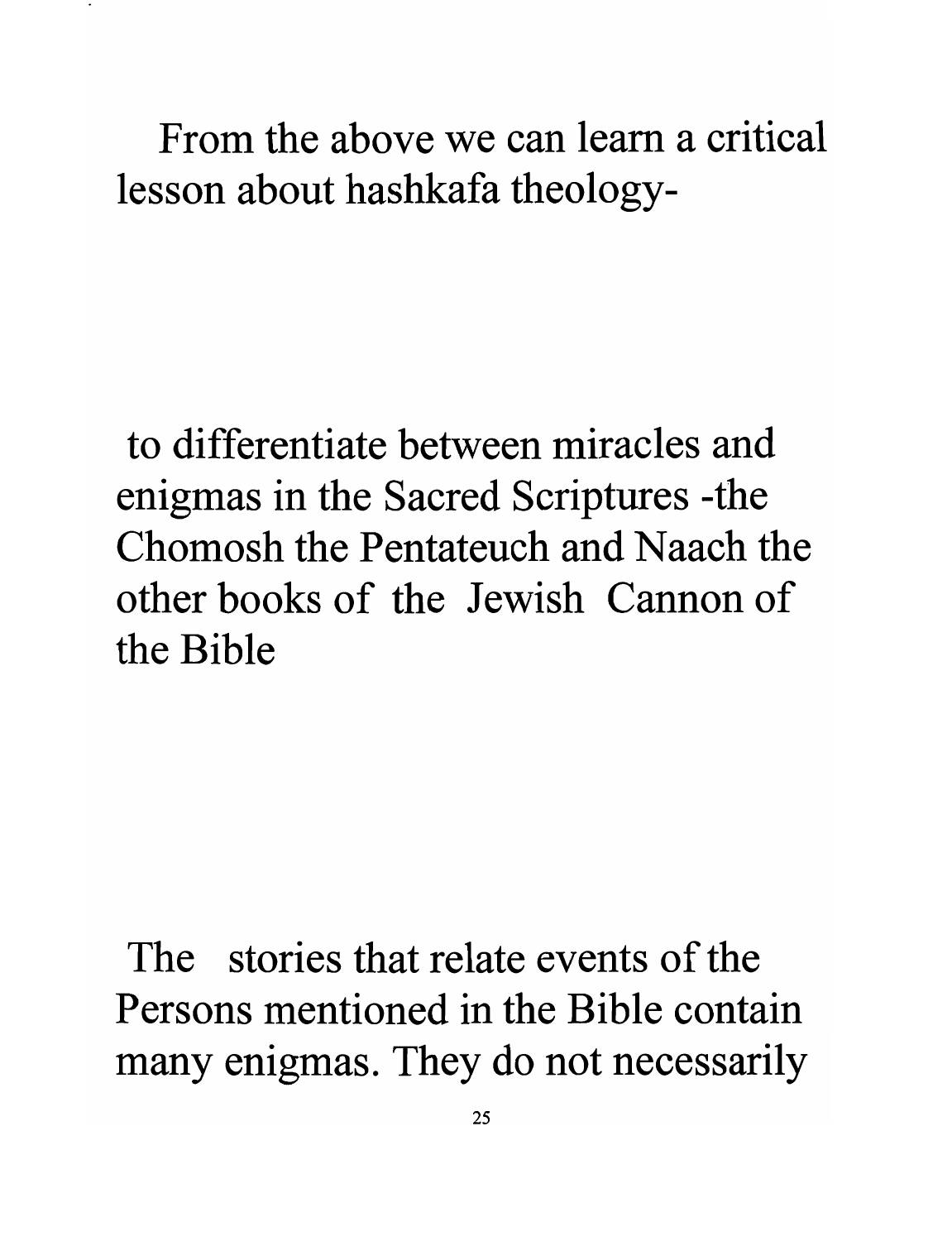From the above we can learn a critical lesson about hashkafa theology-

to differentiate between miracles and enigmas in the Sacred Scriptures -the Chomosh the Pentateuch and Naach the other books of the Jewish Cannon of the Bible

The stories that relate events of the Persons mentioned in the Bible contain many enigmas. They do not necessarily